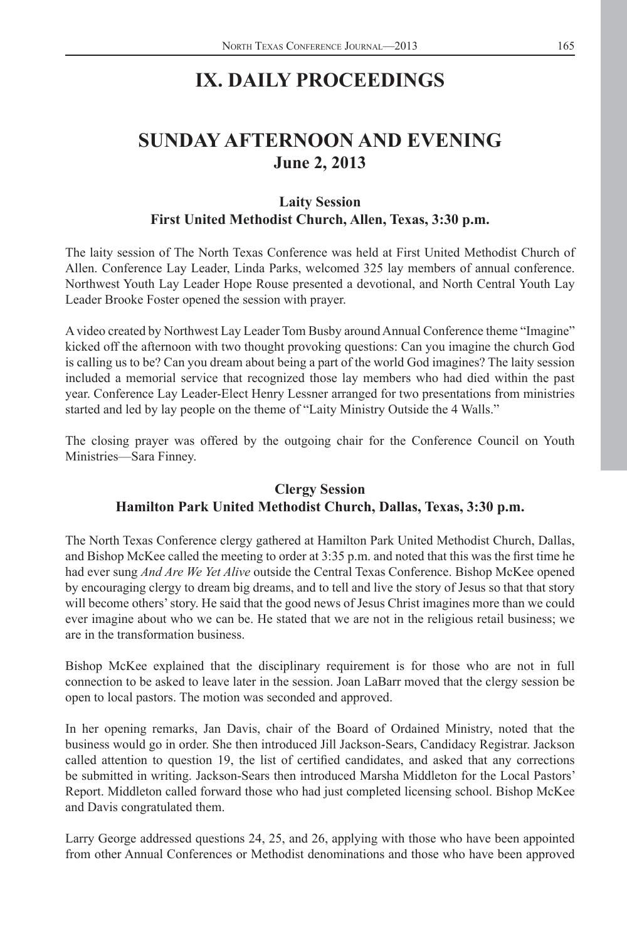# **IX. DAILY PROCEEDINGS**

# **SUNDAY AFTERNOON AND EVENING June 2, 2013**

## **Laity Session First United Methodist Church, Allen, Texas, 3:30 p.m.**

The laity session of The North Texas Conference was held at First United Methodist Church of Allen. Conference Lay Leader, Linda Parks, welcomed 325 lay members of annual conference. Northwest Youth Lay Leader Hope Rouse presented a devotional, and North Central Youth Lay Leader Brooke Foster opened the session with prayer.

A video created by Northwest Lay Leader Tom Busby around Annual Conference theme "Imagine" kicked off the afternoon with two thought provoking questions: Can you imagine the church God is calling us to be? Can you dream about being a part of the world God imagines? The laity session included a memorial service that recognized those lay members who had died within the past year. Conference Lay Leader-Elect Henry Lessner arranged for two presentations from ministries started and led by lay people on the theme of "Laity Ministry Outside the 4 Walls."

The closing prayer was offered by the outgoing chair for the Conference Council on Youth Ministries—Sara Finney.

# **Clergy Session Hamilton Park United Methodist Church, Dallas, Texas, 3:30 p.m.**

The North Texas Conference clergy gathered at Hamilton Park United Methodist Church, Dallas, and Bishop McKee called the meeting to order at  $3:35$  p.m. and noted that this was the first time he had ever sung *And Are We Yet Alive* outside the Central Texas Conference. Bishop McKee opened by encouraging clergy to dream big dreams, and to tell and live the story of Jesus so that that story will become others' story. He said that the good news of Jesus Christ imagines more than we could ever imagine about who we can be. He stated that we are not in the religious retail business; we are in the transformation business.

Bishop McKee explained that the disciplinary requirement is for those who are not in full connection to be asked to leave later in the session. Joan LaBarr moved that the clergy session be open to local pastors. The motion was seconded and approved.

In her opening remarks, Jan Davis, chair of the Board of Ordained Ministry, noted that the business would go in order. She then introduced Jill Jackson-Sears, Candidacy Registrar. Jackson called attention to question 19, the list of certified candidates, and asked that any corrections be submitted in writing. Jackson-Sears then introduced Marsha Middleton for the Local Pastors' Report. Middleton called forward those who had just completed licensing school. Bishop McKee and Davis congratulated them.

Larry George addressed questions 24, 25, and 26, applying with those who have been appointed from other Annual Conferences or Methodist denominations and those who have been approved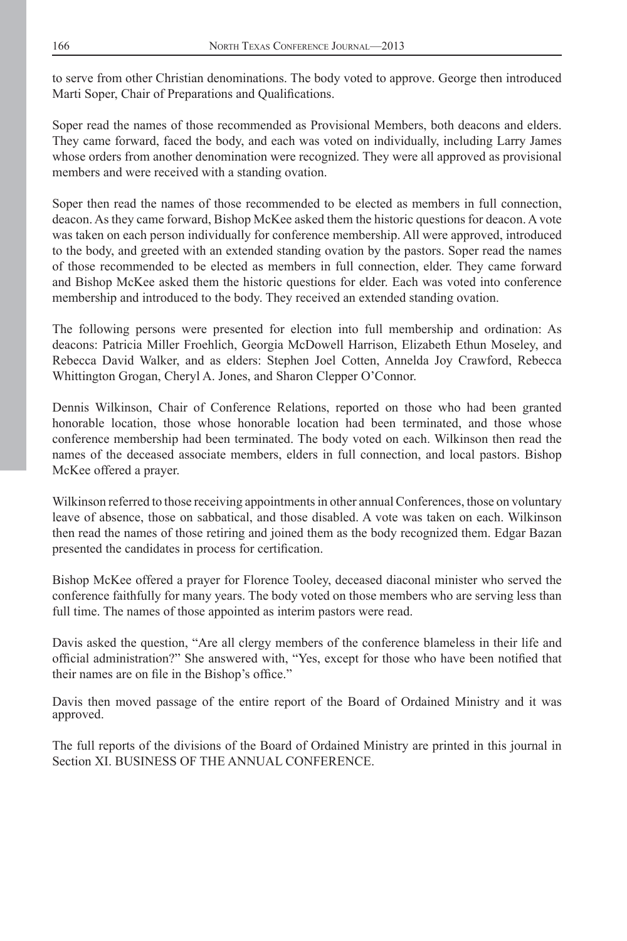to serve from other Christian denominations. The body voted to approve. George then introduced Marti Soper, Chair of Preparations and Qualifications.

Soper read the names of those recommended as Provisional Members, both deacons and elders. They came forward, faced the body, and each was voted on individually, including Larry James whose orders from another denomination were recognized. They were all approved as provisional members and were received with a standing ovation.

Soper then read the names of those recommended to be elected as members in full connection, deacon. As they came forward, Bishop McKee asked them the historic questions for deacon. A vote was taken on each person individually for conference membership. All were approved, introduced to the body, and greeted with an extended standing ovation by the pastors. Soper read the names of those recommended to be elected as members in full connection, elder. They came forward and Bishop McKee asked them the historic questions for elder. Each was voted into conference membership and introduced to the body. They received an extended standing ovation.

The following persons were presented for election into full membership and ordination: As deacons: Patricia Miller Froehlich, Georgia McDowell Harrison, Elizabeth Ethun Moseley, and Rebecca David Walker, and as elders: Stephen Joel Cotten, Annelda Joy Crawford, Rebecca Whittington Grogan, Cheryl A. Jones, and Sharon Clepper O'Connor.

Dennis Wilkinson, Chair of Conference Relations, reported on those who had been granted honorable location, those whose honorable location had been terminated, and those whose conference membership had been terminated. The body voted on each. Wilkinson then read the names of the deceased associate members, elders in full connection, and local pastors. Bishop McKee offered a prayer.

Wilkinson referred to those receiving appointments in other annual Conferences, those on voluntary leave of absence, those on sabbatical, and those disabled. A vote was taken on each. Wilkinson then read the names of those retiring and joined them as the body recognized them. Edgar Bazan presented the candidates in process for certification.

Bishop McKee offered a prayer for Florence Tooley, deceased diaconal minister who served the conference faithfully for many years. The body voted on those members who are serving less than full time. The names of those appointed as interim pastors were read.

Davis asked the question, "Are all clergy members of the conference blameless in their life and official administration?" She answered with, "Yes, except for those who have been notified that their names are on file in the Bishop's office."

Davis then moved passage of the entire report of the Board of Ordained Ministry and it was approved.

The full reports of the divisions of the Board of Ordained Ministry are printed in this journal in Section XI. BUSINESS OF THE ANNUAL CONFERENCE.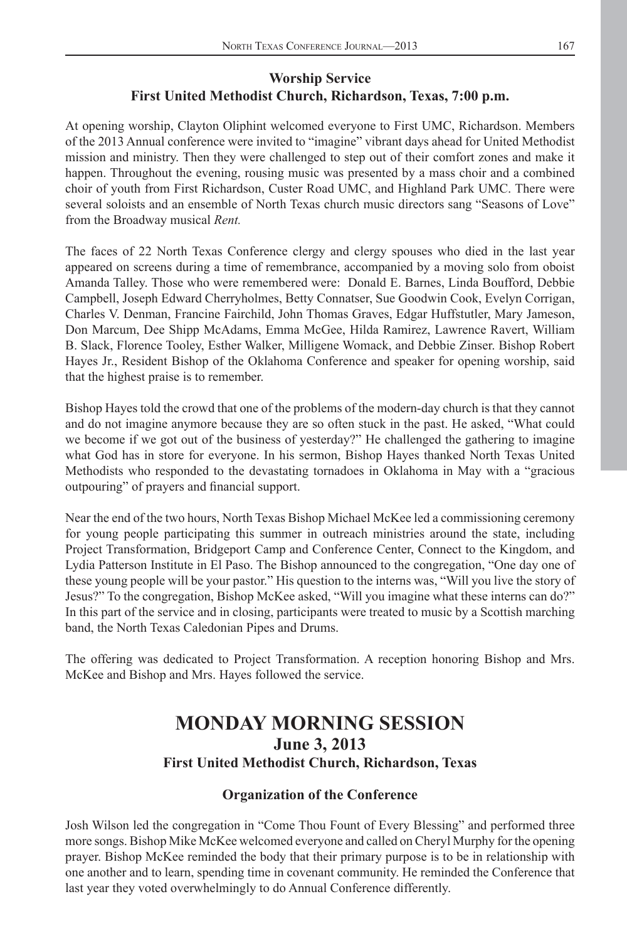## **Worship Service First United Methodist Church, Richardson, Texas, 7:00 p.m.**

At opening worship, Clayton Oliphint welcomed everyone to First UMC, Richardson. Members of the 2013 Annual conference were invited to "imagine" vibrant days ahead for United Methodist mission and ministry. Then they were challenged to step out of their comfort zones and make it happen. Throughout the evening, rousing music was presented by a mass choir and a combined choir of youth from First Richardson, Custer Road UMC, and Highland Park UMC. There were several soloists and an ensemble of North Texas church music directors sang "Seasons of Love" from the Broadway musical *Rent.*

The faces of 22 North Texas Conference clergy and clergy spouses who died in the last year appeared on screens during a time of remembrance, accompanied by a moving solo from oboist Amanda Talley. Those who were remembered were: Donald E. Barnes, Linda Boufford, Debbie Campbell, Joseph Edward Cherryholmes, Betty Connatser, Sue Goodwin Cook, Evelyn Corrigan, Charles V. Denman, Francine Fairchild, John Thomas Graves, Edgar Huffstutler, Mary Jameson, Don Marcum, Dee Shipp McAdams, Emma McGee, Hilda Ramirez, Lawrence Ravert, William B. Slack, Florence Tooley, Esther Walker, Milligene Womack, and Debbie Zinser. Bishop Robert Hayes Jr., Resident Bishop of the Oklahoma Conference and speaker for opening worship, said that the highest praise is to remember.

Bishop Hayes told the crowd that one of the problems of the modern-day church is that they cannot and do not imagine anymore because they are so often stuck in the past. He asked, "What could we become if we got out of the business of yesterday?" He challenged the gathering to imagine what God has in store for everyone. In his sermon, Bishop Hayes thanked North Texas United Methodists who responded to the devastating tornadoes in Oklahoma in May with a "gracious outpouring" of prayers and financial support.

Near the end of the two hours, North Texas Bishop Michael McKee led a commissioning ceremony for young people participating this summer in outreach ministries around the state, including Project Transformation, Bridgeport Camp and Conference Center, Connect to the Kingdom, and Lydia Patterson Institute in El Paso. The Bishop announced to the congregation, "One day one of these young people will be your pastor." His question to the interns was, "Will you live the story of Jesus?" To the congregation, Bishop McKee asked, "Will you imagine what these interns can do?" In this part of the service and in closing, participants were treated to music by a Scottish marching band, the North Texas Caledonian Pipes and Drums.

The offering was dedicated to Project Transformation. A reception honoring Bishop and Mrs. McKee and Bishop and Mrs. Hayes followed the service.

# **MONDAY MORNING SESSION June 3, 2013 First United Methodist Church, Richardson, Texas**

### **Organization of the Conference**

Josh Wilson led the congregation in "Come Thou Fount of Every Blessing" and performed three more songs. Bishop Mike McKee welcomed everyone and called on Cheryl Murphy for the opening prayer. Bishop McKee reminded the body that their primary purpose is to be in relationship with one another and to learn, spending time in covenant community. He reminded the Conference that last year they voted overwhelmingly to do Annual Conference differently.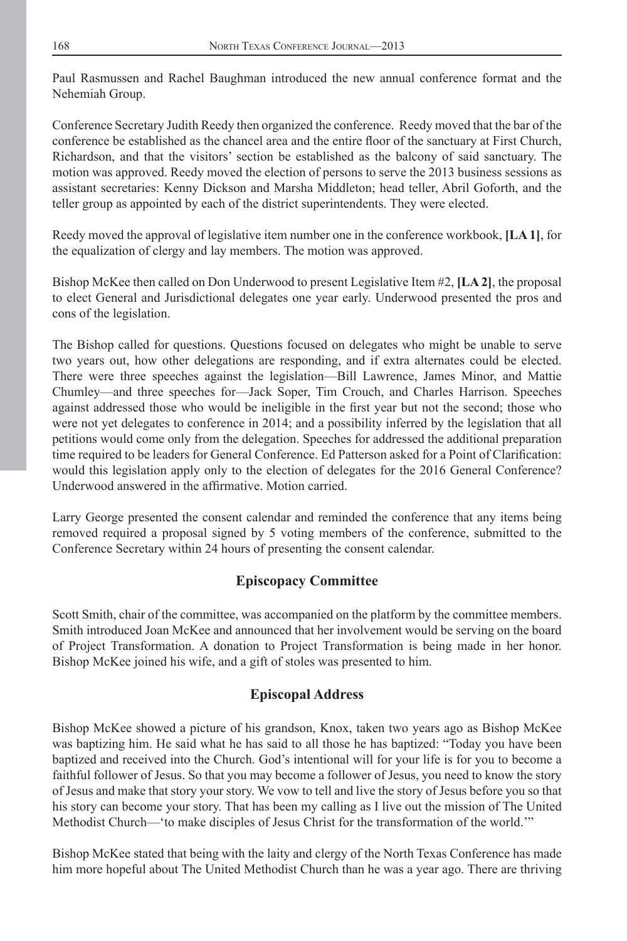Paul Rasmussen and Rachel Baughman introduced the new annual conference format and the Nehemiah Group.

Conference Secretary Judith Reedy then organized the conference. Reedy moved that the bar of the conference be established as the chancel area and the entire floor of the sanctuary at First Church, Richardson, and that the visitors' section be established as the balcony of said sanctuary. The motion was approved. Reedy moved the election of persons to serve the 2013 business sessions as assistant secretaries: Kenny Dickson and Marsha Middleton; head teller, Abril Goforth, and the teller group as appointed by each of the district superintendents. They were elected.

Reedy moved the approval of legislative item number one in the conference workbook, **[LA 1]**, for the equalization of clergy and lay members. The motion was approved.

Bishop McKee then called on Don Underwood to present Legislative Item #2, **[LA 2]**, the proposal to elect General and Jurisdictional delegates one year early. Underwood presented the pros and cons of the legislation.

The Bishop called for questions. Questions focused on delegates who might be unable to serve two years out, how other delegations are responding, and if extra alternates could be elected. There were three speeches against the legislation—Bill Lawrence, James Minor, and Mattie Chumley—and three speeches for—Jack Soper, Tim Crouch, and Charles Harrison. Speeches against addressed those who would be ineligible in the first year but not the second; those who were not yet delegates to conference in 2014; and a possibility inferred by the legislation that all petitions would come only from the delegation. Speeches for addressed the additional preparation time required to be leaders for General Conference. Ed Patterson asked for a Point of Clarification: would this legislation apply only to the election of delegates for the 2016 General Conference? Underwood answered in the affirmative. Motion carried.

Larry George presented the consent calendar and reminded the conference that any items being removed required a proposal signed by 5 voting members of the conference, submitted to the Conference Secretary within 24 hours of presenting the consent calendar.

# **Episcopacy Committee**

Scott Smith, chair of the committee, was accompanied on the platform by the committee members. Smith introduced Joan McKee and announced that her involvement would be serving on the board of Project Transformation. A donation to Project Transformation is being made in her honor. Bishop McKee joined his wife, and a gift of stoles was presented to him.

# **Episcopal Address**

Bishop McKee showed a picture of his grandson, Knox, taken two years ago as Bishop McKee was baptizing him. He said what he has said to all those he has baptized: "Today you have been baptized and received into the Church. God's intentional will for your life is for you to become a faithful follower of Jesus. So that you may become a follower of Jesus, you need to know the story of Jesus and make that story your story. We vow to tell and live the story of Jesus before you so that his story can become your story. That has been my calling as I live out the mission of The United Methodist Church—'to make disciples of Jesus Christ for the transformation of the world.'"

Bishop McKee stated that being with the laity and clergy of the North Texas Conference has made him more hopeful about The United Methodist Church than he was a year ago. There are thriving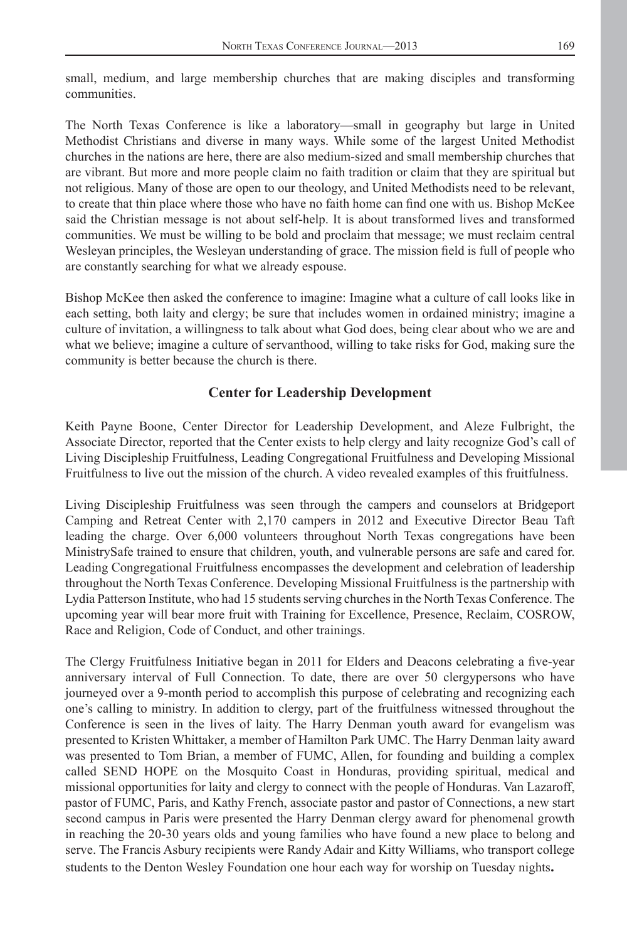small, medium, and large membership churches that are making disciples and transforming communities.

The North Texas Conference is like a laboratory—small in geography but large in United Methodist Christians and diverse in many ways. While some of the largest United Methodist churches in the nations are here, there are also medium-sized and small membership churches that are vibrant. But more and more people claim no faith tradition or claim that they are spiritual but not religious. Many of those are open to our theology, and United Methodists need to be relevant, to create that thin place where those who have no faith home can find one with us. Bishop McKee said the Christian message is not about self-help. It is about transformed lives and transformed communities. We must be willing to be bold and proclaim that message; we must reclaim central Wesleyan principles, the Wesleyan understanding of grace. The mission field is full of people who are constantly searching for what we already espouse.

Bishop McKee then asked the conference to imagine: Imagine what a culture of call looks like in each setting, both laity and clergy; be sure that includes women in ordained ministry; imagine a culture of invitation, a willingness to talk about what God does, being clear about who we are and what we believe; imagine a culture of servanthood, willing to take risks for God, making sure the community is better because the church is there.

#### **Center for Leadership Development**

Keith Payne Boone, Center Director for Leadership Development, and Aleze Fulbright, the Associate Director, reported that the Center exists to help clergy and laity recognize God's call of Living Discipleship Fruitfulness, Leading Congregational Fruitfulness and Developing Missional Fruitfulness to live out the mission of the church. A video revealed examples of this fruitfulness.

Living Discipleship Fruitfulness was seen through the campers and counselors at Bridgeport Camping and Retreat Center with 2,170 campers in 2012 and Executive Director Beau Taft leading the charge. Over 6,000 volunteers throughout North Texas congregations have been MinistrySafe trained to ensure that children, youth, and vulnerable persons are safe and cared for. Leading Congregational Fruitfulness encompasses the development and celebration of leadership throughout the North Texas Conference. Developing Missional Fruitfulness is the partnership with Lydia Patterson Institute, who had 15 students serving churches in the North Texas Conference. The upcoming year will bear more fruit with Training for Excellence, Presence, Reclaim, COSROW, Race and Religion, Code of Conduct, and other trainings.

The Clergy Fruitfulness Initiative began in 2011 for Elders and Deacons celebrating a five-year anniversary interval of Full Connection. To date, there are over 50 clergypersons who have journeyed over a 9-month period to accomplish this purpose of celebrating and recognizing each one's calling to ministry. In addition to clergy, part of the fruitfulness witnessed throughout the Conference is seen in the lives of laity. The Harry Denman youth award for evangelism was presented to Kristen Whittaker, a member of Hamilton Park UMC. The Harry Denman laity award was presented to Tom Brian, a member of FUMC, Allen, for founding and building a complex called SEND HOPE on the Mosquito Coast in Honduras, providing spiritual, medical and missional opportunities for laity and clergy to connect with the people of Honduras. Van Lazaroff, pastor of FUMC, Paris, and Kathy French, associate pastor and pastor of Connections, a new start second campus in Paris were presented the Harry Denman clergy award for phenomenal growth in reaching the 20-30 years olds and young families who have found a new place to belong and serve. The Francis Asbury recipients were Randy Adair and Kitty Williams, who transport college students to the Denton Wesley Foundation one hour each way for worship on Tuesday nights**.**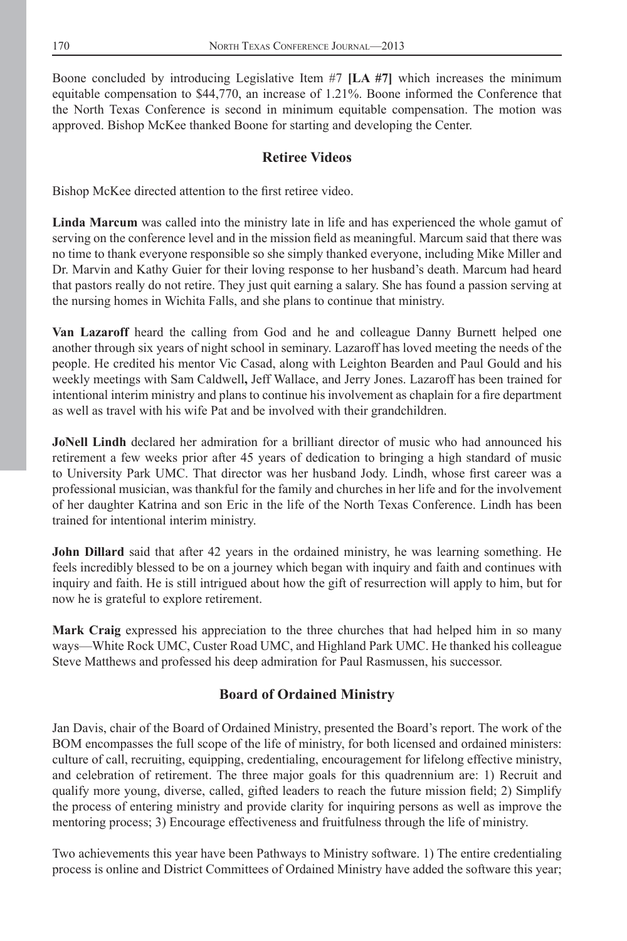Boone concluded by introducing Legislative Item #7 **[LA #7]** which increases the minimum equitable compensation to \$44,770, an increase of 1.21%. Boone informed the Conference that the North Texas Conference is second in minimum equitable compensation. The motion was approved. Bishop McKee thanked Boone for starting and developing the Center.

## **Retiree Videos**

Bishop McKee directed attention to the first retiree video.

**Linda Marcum** was called into the ministry late in life and has experienced the whole gamut of serving on the conference level and in the mission field as meaningful. Marcum said that there was no time to thank everyone responsible so she simply thanked everyone, including Mike Miller and Dr. Marvin and Kathy Guier for their loving response to her husband's death. Marcum had heard that pastors really do not retire. They just quit earning a salary. She has found a passion serving at the nursing homes in Wichita Falls, and she plans to continue that ministry.

**Van Lazaroff** heard the calling from God and he and colleague Danny Burnett helped one another through six years of night school in seminary. Lazaroff has loved meeting the needs of the people. He credited his mentor Vic Casad, along with Leighton Bearden and Paul Gould and his weekly meetings with Sam Caldwell**,** Jeff Wallace, and Jerry Jones. Lazaroff has been trained for intentional interim ministry and plans to continue his involvement as chaplain for a fire department as well as travel with his wife Pat and be involved with their grandchildren.

**JoNell Lindh** declared her admiration for a brilliant director of music who had announced his retirement a few weeks prior after 45 years of dedication to bringing a high standard of music to University Park UMC. That director was her husband Jody. Lindh, whose first career was a professional musician, was thankful for the family and churches in her life and for the involvement of her daughter Katrina and son Eric in the life of the North Texas Conference. Lindh has been trained for intentional interim ministry.

**John Dillard** said that after 42 years in the ordained ministry, he was learning something. He feels incredibly blessed to be on a journey which began with inquiry and faith and continues with inquiry and faith. He is still intrigued about how the gift of resurrection will apply to him, but for now he is grateful to explore retirement.

**Mark Craig** expressed his appreciation to the three churches that had helped him in so many ways—White Rock UMC, Custer Road UMC, and Highland Park UMC. He thanked his colleague Steve Matthews and professed his deep admiration for Paul Rasmussen, his successor.

# **Board of Ordained Ministry**

Jan Davis, chair of the Board of Ordained Ministry, presented the Board's report. The work of the BOM encompasses the full scope of the life of ministry, for both licensed and ordained ministers: culture of call, recruiting, equipping, credentialing, encouragement for lifelong effective ministry, and celebration of retirement. The three major goals for this quadrennium are: 1) Recruit and qualify more young, diverse, called, gifted leaders to reach the future mission field; 2) Simplify the process of entering ministry and provide clarity for inquiring persons as well as improve the mentoring process; 3) Encourage effectiveness and fruitfulness through the life of ministry.

Two achievements this year have been Pathways to Ministry software. 1) The entire credentialing process is online and District Committees of Ordained Ministry have added the software this year;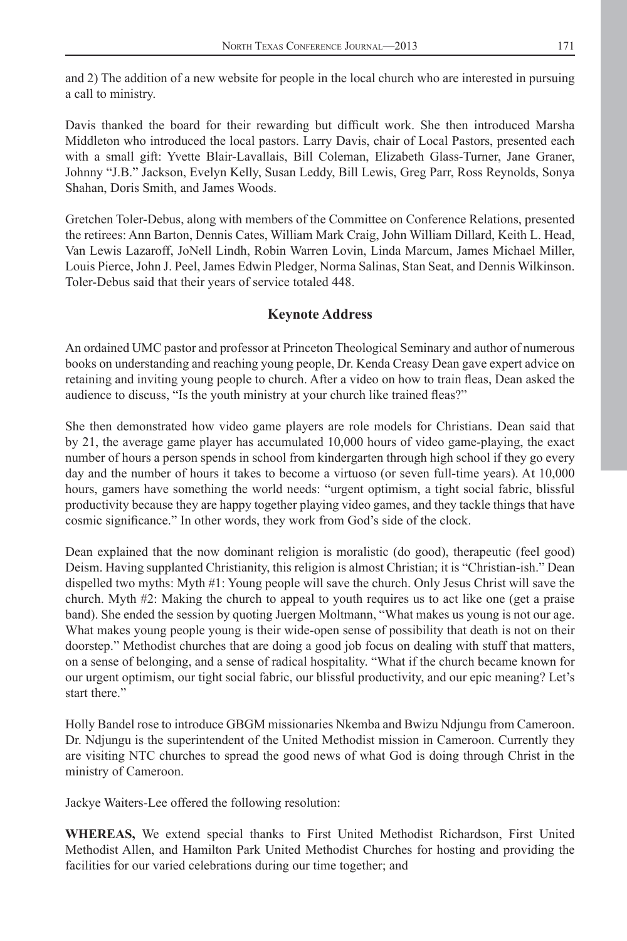and 2) The addition of a new website for people in the local church who are interested in pursuing a call to ministry.

Davis thanked the board for their rewarding but difficult work. She then introduced Marsha Middleton who introduced the local pastors. Larry Davis, chair of Local Pastors, presented each with a small gift: Yvette Blair-Lavallais, Bill Coleman, Elizabeth Glass-Turner, Jane Graner, Johnny "J.B." Jackson, Evelyn Kelly, Susan Leddy, Bill Lewis, Greg Parr, Ross Reynolds, Sonya Shahan, Doris Smith, and James Woods.

Gretchen Toler-Debus, along with members of the Committee on Conference Relations, presented the retirees: Ann Barton, Dennis Cates, William Mark Craig, John William Dillard, Keith L. Head, Van Lewis Lazaroff, JoNell Lindh, Robin Warren Lovin, Linda Marcum, James Michael Miller, Louis Pierce, John J. Peel, James Edwin Pledger, Norma Salinas, Stan Seat, and Dennis Wilkinson. Toler-Debus said that their years of service totaled 448.

### **Keynote Address**

An ordained UMC pastor and professor at Princeton Theological Seminary and author of numerous books on understanding and reaching young people, Dr. Kenda Creasy Dean gave expert advice on retaining and inviting young people to church. After a video on how to train fleas, Dean asked the audience to discuss, "Is the youth ministry at your church like trained fleas?"

She then demonstrated how video game players are role models for Christians. Dean said that by 21, the average game player has accumulated 10,000 hours of video game-playing, the exact number of hours a person spends in school from kindergarten through high school if they go every day and the number of hours it takes to become a virtuoso (or seven full-time years). At 10,000 hours, gamers have something the world needs: "urgent optimism, a tight social fabric, blissful productivity because they are happy together playing video games, and they tackle things that have cosmic significance." In other words, they work from God's side of the clock.

Dean explained that the now dominant religion is moralistic (do good), therapeutic (feel good) Deism. Having supplanted Christianity, this religion is almost Christian; it is "Christian-ish." Dean dispelled two myths: Myth #1: Young people will save the church. Only Jesus Christ will save the church. Myth #2: Making the church to appeal to youth requires us to act like one (get a praise band). She ended the session by quoting Juergen Moltmann, "What makes us young is not our age. What makes young people young is their wide-open sense of possibility that death is not on their doorstep." Methodist churches that are doing a good job focus on dealing with stuff that matters, on a sense of belonging, and a sense of radical hospitality. "What if the church became known for our urgent optimism, our tight social fabric, our blissful productivity, and our epic meaning? Let's start there."

Holly Bandel rose to introduce GBGM missionaries Nkemba and Bwizu Ndjungu from Cameroon. Dr. Ndjungu is the superintendent of the United Methodist mission in Cameroon. Currently they are visiting NTC churches to spread the good news of what God is doing through Christ in the ministry of Cameroon.

Jackye Waiters-Lee offered the following resolution:

**WHEREAS,** We extend special thanks to First United Methodist Richardson, First United Methodist Allen, and Hamilton Park United Methodist Churches for hosting and providing the facilities for our varied celebrations during our time together; and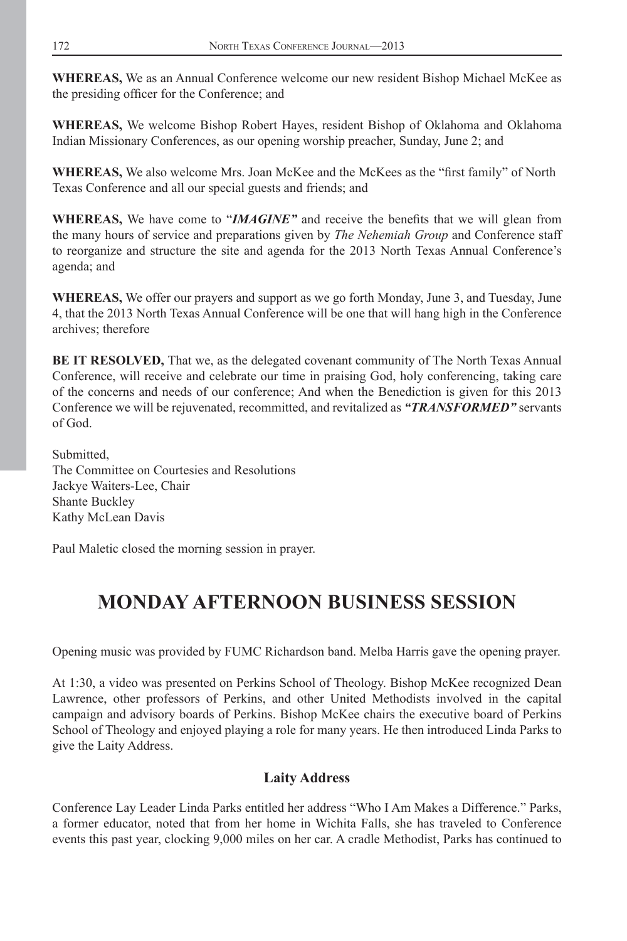**WHEREAS,** We as an Annual Conference welcome our new resident Bishop Michael McKee as the presiding officer for the Conference; and

**WHEREAS,** We welcome Bishop Robert Hayes, resident Bishop of Oklahoma and Oklahoma Indian Missionary Conferences, as our opening worship preacher, Sunday, June 2; and

WHEREAS, We also welcome Mrs. Joan McKee and the McKees as the "first family" of North Texas Conference and all our special guests and friends; and

**WHEREAS,** We have come to "*IMAGINE*" and receive the benefits that we will glean from the many hours of service and preparations given by *The Nehemiah Group* and Conference staff to reorganize and structure the site and agenda for the 2013 North Texas Annual Conference's agenda; and

**WHEREAS,** We offer our prayers and support as we go forth Monday, June 3, and Tuesday, June 4, that the 2013 North Texas Annual Conference will be one that will hang high in the Conference archives; therefore

**BE IT RESOLVED,** That we, as the delegated covenant community of The North Texas Annual Conference, will receive and celebrate our time in praising God, holy conferencing, taking care of the concerns and needs of our conference; And when the Benediction is given for this 2013 Conference we will be rejuvenated, recommitted, and revitalized as *"TRANSFORMED"* servants of God.

Submitted, The Committee on Courtesies and Resolutions Jackye Waiters-Lee, Chair Shante Buckley Kathy McLean Davis

Paul Maletic closed the morning session in prayer.

# **MONDAY AFTERNOON BUSINESS SESSION**

Opening music was provided by FUMC Richardson band. Melba Harris gave the opening prayer.

At 1:30, a video was presented on Perkins School of Theology. Bishop McKee recognized Dean Lawrence, other professors of Perkins, and other United Methodists involved in the capital campaign and advisory boards of Perkins. Bishop McKee chairs the executive board of Perkins School of Theology and enjoyed playing a role for many years. He then introduced Linda Parks to give the Laity Address.

# **Laity Address**

Conference Lay Leader Linda Parks entitled her address "Who I Am Makes a Difference." Parks, a former educator, noted that from her home in Wichita Falls, she has traveled to Conference events this past year, clocking 9,000 miles on her car. A cradle Methodist, Parks has continued to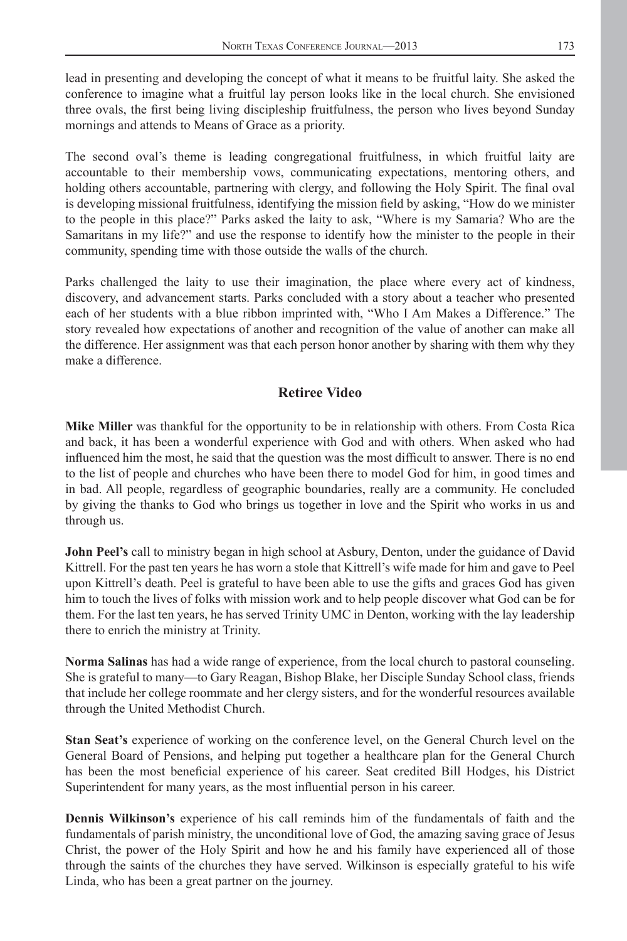lead in presenting and developing the concept of what it means to be fruitful laity. She asked the conference to imagine what a fruitful lay person looks like in the local church. She envisioned three ovals, the first being living discipleship fruitfulness, the person who lives beyond Sunday mornings and attends to Means of Grace as a priority.

The second oval's theme is leading congregational fruitfulness, in which fruitful laity are accountable to their membership vows, communicating expectations, mentoring others, and holding others accountable, partnering with clergy, and following the Holy Spirit. The final oval is developing missional fruitfulness, identifying the mission field by asking, "How do we minister to the people in this place?" Parks asked the laity to ask, "Where is my Samaria? Who are the Samaritans in my life?" and use the response to identify how the minister to the people in their community, spending time with those outside the walls of the church.

Parks challenged the laity to use their imagination, the place where every act of kindness, discovery, and advancement starts. Parks concluded with a story about a teacher who presented each of her students with a blue ribbon imprinted with, "Who I Am Makes a Difference." The story revealed how expectations of another and recognition of the value of another can make all the difference. Her assignment was that each person honor another by sharing with them why they make a difference.

## **Retiree Video**

**Mike Miller** was thankful for the opportunity to be in relationship with others. From Costa Rica and back, it has been a wonderful experience with God and with others. When asked who had influenced him the most, he said that the question was the most difficult to answer. There is no end to the list of people and churches who have been there to model God for him, in good times and in bad. All people, regardless of geographic boundaries, really are a community. He concluded by giving the thanks to God who brings us together in love and the Spirit who works in us and through us.

**John Peel's** call to ministry began in high school at Asbury, Denton, under the guidance of David Kittrell. For the past ten years he has worn a stole that Kittrell's wife made for him and gave to Peel upon Kittrell's death. Peel is grateful to have been able to use the gifts and graces God has given him to touch the lives of folks with mission work and to help people discover what God can be for them. For the last ten years, he has served Trinity UMC in Denton, working with the lay leadership there to enrich the ministry at Trinity.

**Norma Salinas** has had a wide range of experience, from the local church to pastoral counseling. She is grateful to many—to Gary Reagan, Bishop Blake, her Disciple Sunday School class, friends that include her college roommate and her clergy sisters, and for the wonderful resources available through the United Methodist Church.

**Stan Seat's** experience of working on the conference level, on the General Church level on the General Board of Pensions, and helping put together a healthcare plan for the General Church has been the most beneficial experience of his career. Seat credited Bill Hodges, his District Superintendent for many years, as the most influential person in his career.

**Dennis Wilkinson's** experience of his call reminds him of the fundamentals of faith and the fundamentals of parish ministry, the unconditional love of God, the amazing saving grace of Jesus Christ, the power of the Holy Spirit and how he and his family have experienced all of those through the saints of the churches they have served. Wilkinson is especially grateful to his wife Linda, who has been a great partner on the journey.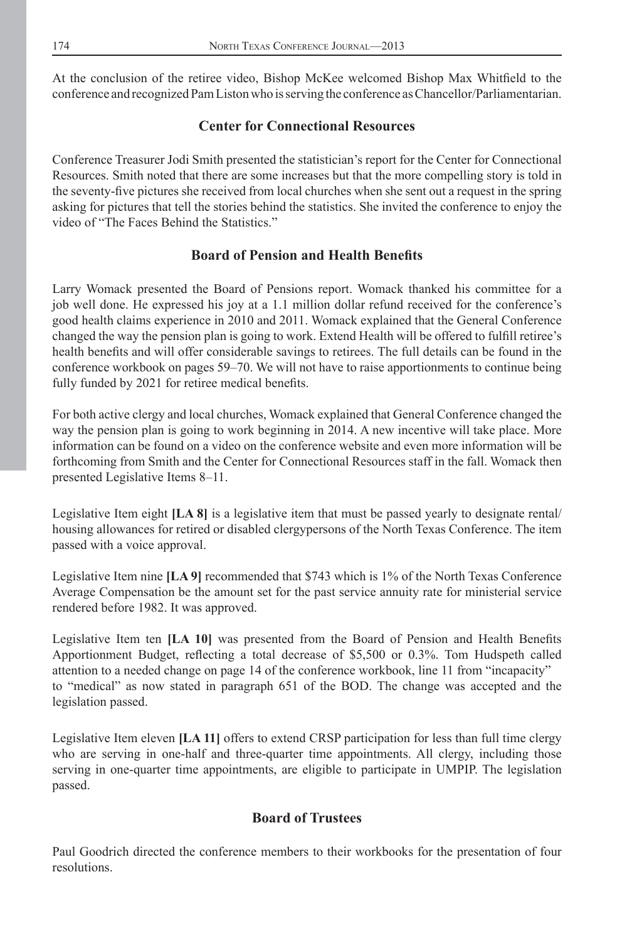At the conclusion of the retiree video, Bishop McKee welcomed Bishop Max Whitfield to the conference and recognized Pam Liston who is serving the conference as Chancellor/Parliamentarian.

# **Center for Connectional Resources**

Conference Treasurer Jodi Smith presented the statistician's report for the Center for Connectional Resources. Smith noted that there are some increases but that the more compelling story is told in the seventy-five pictures she received from local churches when she sent out a request in the spring asking for pictures that tell the stories behind the statistics. She invited the conference to enjoy the video of "The Faces Behind the Statistics."

# **Board of Pension and Health Benefits**

Larry Womack presented the Board of Pensions report. Womack thanked his committee for a job well done. He expressed his joy at a 1.1 million dollar refund received for the conference's good health claims experience in 2010 and 2011. Womack explained that the General Conference changed the way the pension plan is going to work. Extend Health will be offered to fulfill retiree's health benefits and will offer considerable savings to retirees. The full details can be found in the conference workbook on pages 59–70. We will not have to raise apportionments to continue being fully funded by 2021 for retiree medical benefits.

For both active clergy and local churches, Womack explained that General Conference changed the way the pension plan is going to work beginning in 2014. A new incentive will take place. More information can be found on a video on the conference website and even more information will be forthcoming from Smith and the Center for Connectional Resources staff in the fall. Womack then presented Legislative Items 8–11.

Legislative Item eight **[LA 8]** is a legislative item that must be passed yearly to designate rental/ housing allowances for retired or disabled clergypersons of the North Texas Conference. The item passed with a voice approval.

Legislative Item nine **[LA 9]** recommended that \$743 which is 1% of the North Texas Conference Average Compensation be the amount set for the past service annuity rate for ministerial service rendered before 1982. It was approved.

Legislative Item ten [LA 10] was presented from the Board of Pension and Health Benefits Apportionment Budget, reflecting a total decrease of \$5,500 or 0.3%. Tom Hudspeth called attention to a needed change on page 14 of the conference workbook, line 11 from "incapacity" to "medical" as now stated in paragraph 651 of the BOD. The change was accepted and the legislation passed.

Legislative Item eleven **[LA 11]** offers to extend CRSP participation for less than full time clergy who are serving in one-half and three-quarter time appointments. All clergy, including those serving in one-quarter time appointments, are eligible to participate in UMPIP. The legislation passed.

# **Board of Trustees**

Paul Goodrich directed the conference members to their workbooks for the presentation of four resolutions.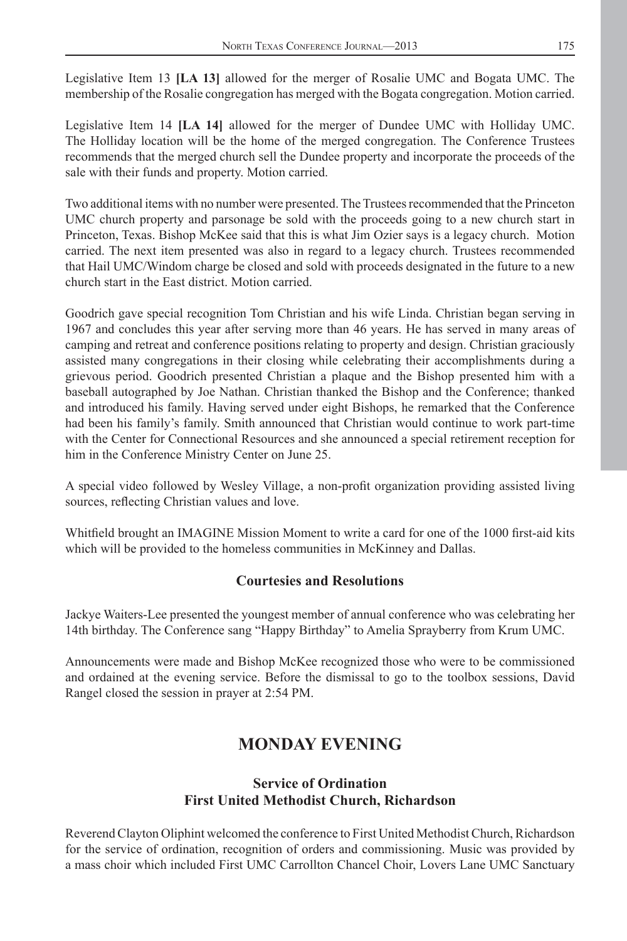Legislative Item 13 **[LA 13]** allowed for the merger of Rosalie UMC and Bogata UMC. The membership of the Rosalie congregation has merged with the Bogata congregation. Motion carried.

Legislative Item 14 **[LA 14]** allowed for the merger of Dundee UMC with Holliday UMC. The Holliday location will be the home of the merged congregation. The Conference Trustees recommends that the merged church sell the Dundee property and incorporate the proceeds of the sale with their funds and property. Motion carried.

Two additional items with no number were presented. The Trustees recommended that the Princeton UMC church property and parsonage be sold with the proceeds going to a new church start in Princeton, Texas. Bishop McKee said that this is what Jim Ozier says is a legacy church. Motion carried. The next item presented was also in regard to a legacy church. Trustees recommended that Hail UMC/Windom charge be closed and sold with proceeds designated in the future to a new church start in the East district. Motion carried.

Goodrich gave special recognition Tom Christian and his wife Linda. Christian began serving in 1967 and concludes this year after serving more than 46 years. He has served in many areas of camping and retreat and conference positions relating to property and design. Christian graciously assisted many congregations in their closing while celebrating their accomplishments during a grievous period. Goodrich presented Christian a plaque and the Bishop presented him with a baseball autographed by Joe Nathan. Christian thanked the Bishop and the Conference; thanked and introduced his family. Having served under eight Bishops, he remarked that the Conference had been his family's family. Smith announced that Christian would continue to work part-time with the Center for Connectional Resources and she announced a special retirement reception for him in the Conference Ministry Center on June 25.

A special video followed by Wesley Village, a non-profi t organization providing assisted living sources, reflecting Christian values and love.

Whitfield brought an IMAGINE Mission Moment to write a card for one of the 1000 first-aid kits which will be provided to the homeless communities in McKinney and Dallas.

### **Courtesies and Resolutions**

Jackye Waiters-Lee presented the youngest member of annual conference who was celebrating her 14th birthday. The Conference sang "Happy Birthday" to Amelia Sprayberry from Krum UMC.

Announcements were made and Bishop McKee recognized those who were to be commissioned and ordained at the evening service. Before the dismissal to go to the toolbox sessions, David Rangel closed the session in prayer at 2:54 PM.

# **MONDAY EVENING**

## **Service of Ordination First United Methodist Church, Richardson**

Reverend Clayton Oliphint welcomed the conference to First United Methodist Church, Richardson for the service of ordination, recognition of orders and commissioning. Music was provided by a mass choir which included First UMC Carrollton Chancel Choir, Lovers Lane UMC Sanctuary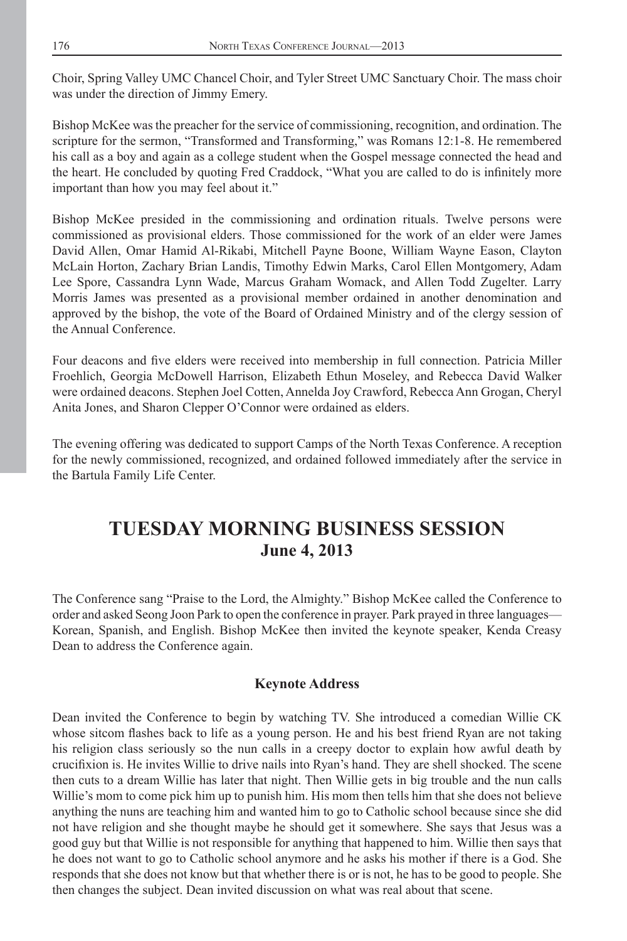Choir, Spring Valley UMC Chancel Choir, and Tyler Street UMC Sanctuary Choir. The mass choir was under the direction of Jimmy Emery.

Bishop McKee was the preacher for the service of commissioning, recognition, and ordination. The scripture for the sermon, "Transformed and Transforming," was Romans 12:1-8. He remembered his call as a boy and again as a college student when the Gospel message connected the head and the heart. He concluded by quoting Fred Craddock, "What you are called to do is infinitely more important than how you may feel about it."

Bishop McKee presided in the commissioning and ordination rituals. Twelve persons were commissioned as provisional elders. Those commissioned for the work of an elder were James David Allen, Omar Hamid Al-Rikabi, Mitchell Payne Boone, William Wayne Eason, Clayton McLain Horton, Zachary Brian Landis, Timothy Edwin Marks, Carol Ellen Montgomery, Adam Lee Spore, Cassandra Lynn Wade, Marcus Graham Womack, and Allen Todd Zugelter. Larry Morris James was presented as a provisional member ordained in another denomination and approved by the bishop, the vote of the Board of Ordained Ministry and of the clergy session of the Annual Conference.

Four deacons and five elders were received into membership in full connection. Patricia Miller Froehlich, Georgia McDowell Harrison, Elizabeth Ethun Moseley, and Rebecca David Walker were ordained deacons. Stephen Joel Cotten, Annelda Joy Crawford, Rebecca Ann Grogan, Cheryl Anita Jones, and Sharon Clepper O'Connor were ordained as elders.

The evening offering was dedicated to support Camps of the North Texas Conference. A reception for the newly commissioned, recognized, and ordained followed immediately after the service in the Bartula Family Life Center.

# **TUESDAY MORNING BUSINESS SESSION June 4, 2013**

The Conference sang "Praise to the Lord, the Almighty." Bishop McKee called the Conference to order and asked Seong Joon Park to open the conference in prayer. Park prayed in three languages— Korean, Spanish, and English. Bishop McKee then invited the keynote speaker, Kenda Creasy Dean to address the Conference again.

### **Keynote Address**

Dean invited the Conference to begin by watching TV. She introduced a comedian Willie CK whose sitcom flashes back to life as a young person. He and his best friend Ryan are not taking his religion class seriously so the nun calls in a creepy doctor to explain how awful death by crucifixion is. He invites Willie to drive nails into Ryan's hand. They are shell shocked. The scene then cuts to a dream Willie has later that night. Then Willie gets in big trouble and the nun calls Willie's mom to come pick him up to punish him. His mom then tells him that she does not believe anything the nuns are teaching him and wanted him to go to Catholic school because since she did not have religion and she thought maybe he should get it somewhere. She says that Jesus was a good guy but that Willie is not responsible for anything that happened to him. Willie then says that he does not want to go to Catholic school anymore and he asks his mother if there is a God. She responds that she does not know but that whether there is or is not, he has to be good to people. She then changes the subject. Dean invited discussion on what was real about that scene.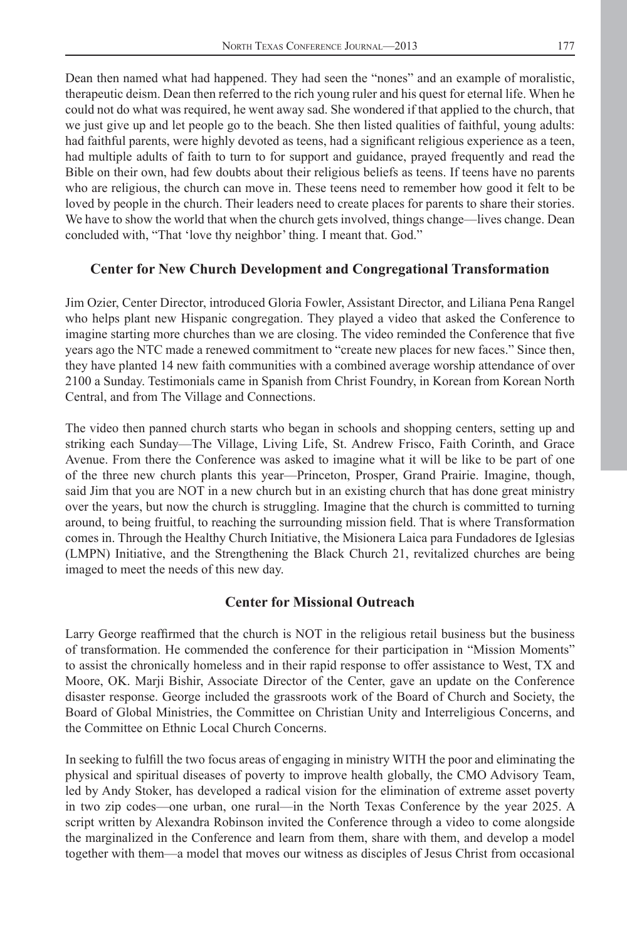Dean then named what had happened. They had seen the "nones" and an example of moralistic, therapeutic deism. Dean then referred to the rich young ruler and his quest for eternal life. When he could not do what was required, he went away sad. She wondered if that applied to the church, that we just give up and let people go to the beach. She then listed qualities of faithful, young adults: had faithful parents, were highly devoted as teens, had a significant religious experience as a teen, had multiple adults of faith to turn to for support and guidance, prayed frequently and read the Bible on their own, had few doubts about their religious beliefs as teens. If teens have no parents who are religious, the church can move in. These teens need to remember how good it felt to be loved by people in the church. Their leaders need to create places for parents to share their stories. We have to show the world that when the church gets involved, things change—lives change. Dean concluded with, "That 'love thy neighbor' thing. I meant that. God."

#### **Center for New Church Development and Congregational Transformation**

Jim Ozier, Center Director, introduced Gloria Fowler, Assistant Director, and Liliana Pena Rangel who helps plant new Hispanic congregation. They played a video that asked the Conference to imagine starting more churches than we are closing. The video reminded the Conference that five years ago the NTC made a renewed commitment to "create new places for new faces." Since then, they have planted 14 new faith communities with a combined average worship attendance of over 2100 a Sunday. Testimonials came in Spanish from Christ Foundry, in Korean from Korean North Central, and from The Village and Connections.

The video then panned church starts who began in schools and shopping centers, setting up and striking each Sunday—The Village, Living Life, St. Andrew Frisco, Faith Corinth, and Grace Avenue. From there the Conference was asked to imagine what it will be like to be part of one of the three new church plants this year—Princeton, Prosper, Grand Prairie. Imagine, though, said Jim that you are NOT in a new church but in an existing church that has done great ministry over the years, but now the church is struggling. Imagine that the church is committed to turning around, to being fruitful, to reaching the surrounding mission field. That is where Transformation comes in. Through the Healthy Church Initiative, the Misionera Laica para Fundadores de Iglesias (LMPN) Initiative, and the Strengthening the Black Church 21, revitalized churches are being imaged to meet the needs of this new day.

#### **Center for Missional Outreach**

Larry George reaffirmed that the church is NOT in the religious retail business but the business of transformation. He commended the conference for their participation in "Mission Moments" to assist the chronically homeless and in their rapid response to offer assistance to West, TX and Moore, OK. Marji Bishir, Associate Director of the Center, gave an update on the Conference disaster response. George included the grassroots work of the Board of Church and Society, the Board of Global Ministries, the Committee on Christian Unity and Interreligious Concerns, and the Committee on Ethnic Local Church Concerns.

In seeking to fulfill the two focus areas of engaging in ministry WITH the poor and eliminating the physical and spiritual diseases of poverty to improve health globally, the CMO Advisory Team, led by Andy Stoker, has developed a radical vision for the elimination of extreme asset poverty in two zip codes—one urban, one rural—in the North Texas Conference by the year 2025. A script written by Alexandra Robinson invited the Conference through a video to come alongside the marginalized in the Conference and learn from them, share with them, and develop a model together with them—a model that moves our witness as disciples of Jesus Christ from occasional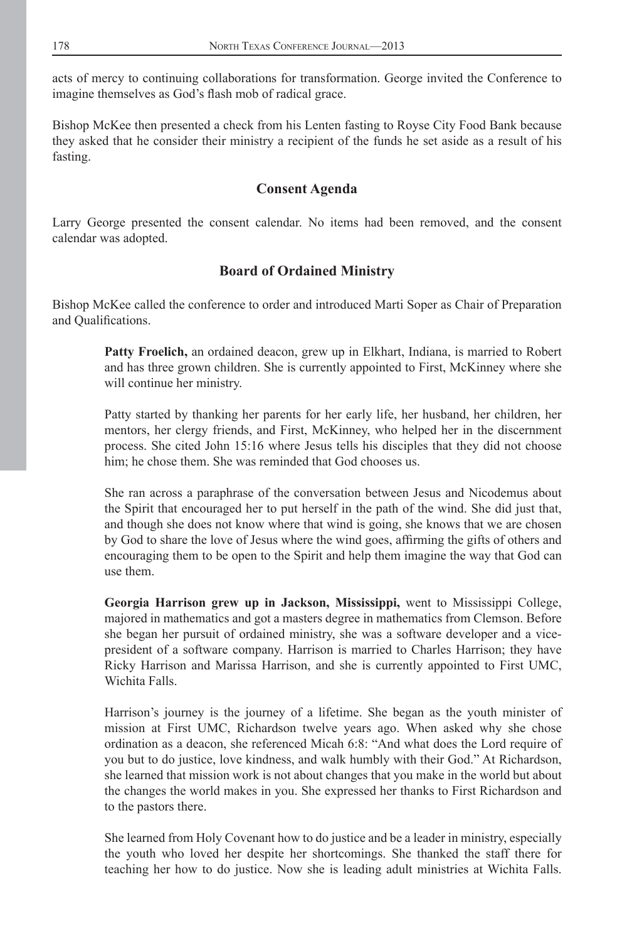acts of mercy to continuing collaborations for transformation. George invited the Conference to imagine themselves as God's flash mob of radical grace.

Bishop McKee then presented a check from his Lenten fasting to Royse City Food Bank because they asked that he consider their ministry a recipient of the funds he set aside as a result of his fasting.

#### **Consent Agenda**

Larry George presented the consent calendar. No items had been removed, and the consent calendar was adopted.

### **Board of Ordained Ministry**

Bishop McKee called the conference to order and introduced Marti Soper as Chair of Preparation and Qualifications.

> **Patty Froelich,** an ordained deacon, grew up in Elkhart, Indiana, is married to Robert and has three grown children. She is currently appointed to First, McKinney where she will continue her ministry.

> Patty started by thanking her parents for her early life, her husband, her children, her mentors, her clergy friends, and First, McKinney, who helped her in the discernment process. She cited John 15:16 where Jesus tells his disciples that they did not choose him; he chose them. She was reminded that God chooses us.

> She ran across a paraphrase of the conversation between Jesus and Nicodemus about the Spirit that encouraged her to put herself in the path of the wind. She did just that, and though she does not know where that wind is going, she knows that we are chosen by God to share the love of Jesus where the wind goes, affirming the gifts of others and encouraging them to be open to the Spirit and help them imagine the way that God can use them.

> **Georgia Harrison grew up in Jackson, Mississippi,** went to Mississippi College, majored in mathematics and got a masters degree in mathematics from Clemson. Before she began her pursuit of ordained ministry, she was a software developer and a vicepresident of a software company. Harrison is married to Charles Harrison; they have Ricky Harrison and Marissa Harrison, and she is currently appointed to First UMC, Wichita Falls.

> Harrison's journey is the journey of a lifetime. She began as the youth minister of mission at First UMC, Richardson twelve years ago. When asked why she chose ordination as a deacon, she referenced Micah 6:8: "And what does the Lord require of you but to do justice, love kindness, and walk humbly with their God." At Richardson, she learned that mission work is not about changes that you make in the world but about the changes the world makes in you. She expressed her thanks to First Richardson and to the pastors there.

> She learned from Holy Covenant how to do justice and be a leader in ministry, especially the youth who loved her despite her shortcomings. She thanked the staff there for teaching her how to do justice. Now she is leading adult ministries at Wichita Falls.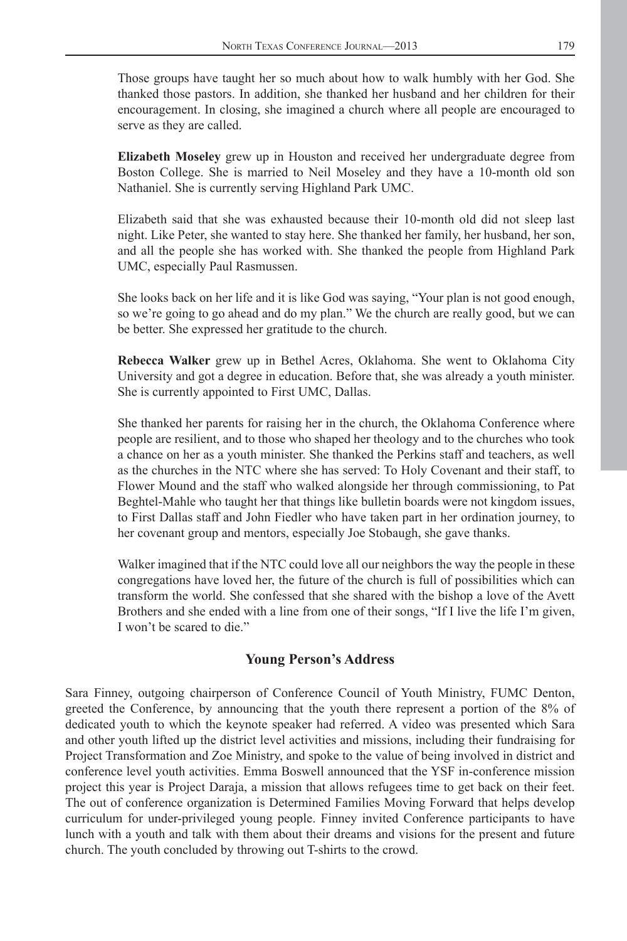Those groups have taught her so much about how to walk humbly with her God. She thanked those pastors. In addition, she thanked her husband and her children for their encouragement. In closing, she imagined a church where all people are encouraged to serve as they are called.

**Elizabeth Moseley** grew up in Houston and received her undergraduate degree from Boston College. She is married to Neil Moseley and they have a 10-month old son Nathaniel. She is currently serving Highland Park UMC.

Elizabeth said that she was exhausted because their 10-month old did not sleep last night. Like Peter, she wanted to stay here. She thanked her family, her husband, her son, and all the people she has worked with. She thanked the people from Highland Park UMC, especially Paul Rasmussen.

She looks back on her life and it is like God was saying, "Your plan is not good enough, so we're going to go ahead and do my plan." We the church are really good, but we can be better. She expressed her gratitude to the church.

**Rebecca Walker** grew up in Bethel Acres, Oklahoma. She went to Oklahoma City University and got a degree in education. Before that, she was already a youth minister. She is currently appointed to First UMC, Dallas.

She thanked her parents for raising her in the church, the Oklahoma Conference where people are resilient, and to those who shaped her theology and to the churches who took a chance on her as a youth minister. She thanked the Perkins staff and teachers, as well as the churches in the NTC where she has served: To Holy Covenant and their staff, to Flower Mound and the staff who walked alongside her through commissioning, to Pat Beghtel-Mahle who taught her that things like bulletin boards were not kingdom issues, to First Dallas staff and John Fiedler who have taken part in her ordination journey, to her covenant group and mentors, especially Joe Stobaugh, she gave thanks.

Walker imagined that if the NTC could love all our neighbors the way the people in these congregations have loved her, the future of the church is full of possibilities which can transform the world. She confessed that she shared with the bishop a love of the Avett Brothers and she ended with a line from one of their songs, "If I live the life I'm given, I won't be scared to die."

#### **Young Person's Address**

Sara Finney, outgoing chairperson of Conference Council of Youth Ministry, FUMC Denton, greeted the Conference, by announcing that the youth there represent a portion of the 8% of dedicated youth to which the keynote speaker had referred. A video was presented which Sara and other youth lifted up the district level activities and missions, including their fundraising for Project Transformation and Zoe Ministry, and spoke to the value of being involved in district and conference level youth activities. Emma Boswell announced that the YSF in-conference mission project this year is Project Daraja, a mission that allows refugees time to get back on their feet. The out of conference organization is Determined Families Moving Forward that helps develop curriculum for under-privileged young people. Finney invited Conference participants to have lunch with a youth and talk with them about their dreams and visions for the present and future church. The youth concluded by throwing out T-shirts to the crowd.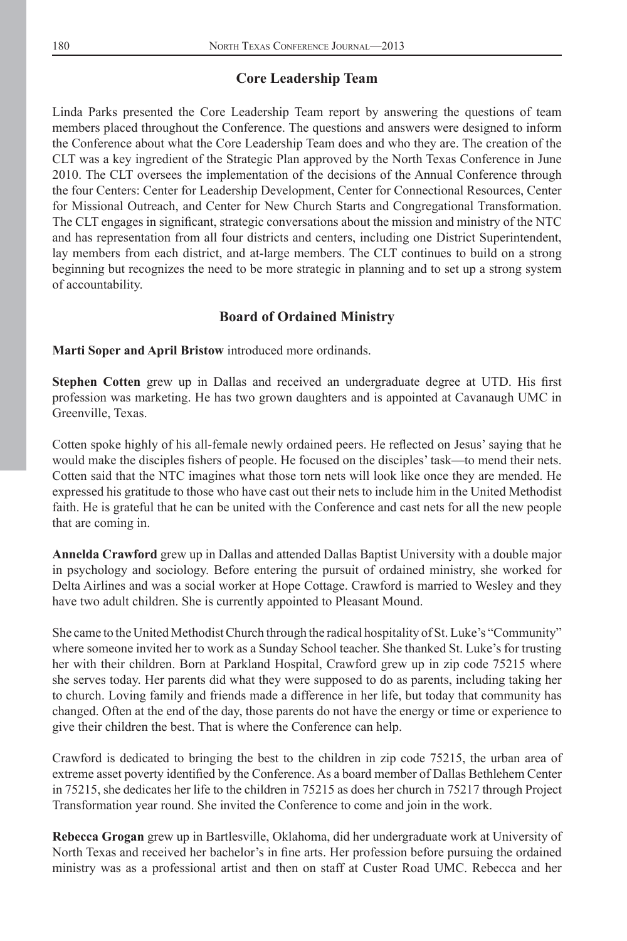#### **Core Leadership Team**

Linda Parks presented the Core Leadership Team report by answering the questions of team members placed throughout the Conference. The questions and answers were designed to inform the Conference about what the Core Leadership Team does and who they are. The creation of the CLT was a key ingredient of the Strategic Plan approved by the North Texas Conference in June 2010. The CLT oversees the implementation of the decisions of the Annual Conference through the four Centers: Center for Leadership Development, Center for Connectional Resources, Center for Missional Outreach, and Center for New Church Starts and Congregational Transformation. The CLT engages in significant, strategic conversations about the mission and ministry of the NTC and has representation from all four districts and centers, including one District Superintendent, lay members from each district, and at-large members. The CLT continues to build on a strong beginning but recognizes the need to be more strategic in planning and to set up a strong system of accountability.

#### **Board of Ordained Ministry**

**Marti Soper and April Bristow** introduced more ordinands.

**Stephen Cotten** grew up in Dallas and received an undergraduate degree at UTD. His first profession was marketing. He has two grown daughters and is appointed at Cavanaugh UMC in Greenville, Texas.

Cotten spoke highly of his all-female newly ordained peers. He reflected on Jesus' saying that he would make the disciples fishers of people. He focused on the disciples' task—to mend their nets. Cotten said that the NTC imagines what those torn nets will look like once they are mended. He expressed his gratitude to those who have cast out their nets to include him in the United Methodist faith. He is grateful that he can be united with the Conference and cast nets for all the new people that are coming in.

**Annelda Crawford** grew up in Dallas and attended Dallas Baptist University with a double major in psychology and sociology. Before entering the pursuit of ordained ministry, she worked for Delta Airlines and was a social worker at Hope Cottage. Crawford is married to Wesley and they have two adult children. She is currently appointed to Pleasant Mound.

She came to the United Methodist Church through the radical hospitality of St. Luke's "Community" where someone invited her to work as a Sunday School teacher. She thanked St. Luke's for trusting her with their children. Born at Parkland Hospital, Crawford grew up in zip code 75215 where she serves today. Her parents did what they were supposed to do as parents, including taking her to church. Loving family and friends made a difference in her life, but today that community has changed. Often at the end of the day, those parents do not have the energy or time or experience to give their children the best. That is where the Conference can help.

Crawford is dedicated to bringing the best to the children in zip code 75215, the urban area of extreme asset poverty identified by the Conference. As a board member of Dallas Bethlehem Center in 75215, she dedicates her life to the children in 75215 as does her church in 75217 through Project Transformation year round. She invited the Conference to come and join in the work.

**Rebecca Grogan** grew up in Bartlesville, Oklahoma, did her undergraduate work at University of North Texas and received her bachelor's in fine arts. Her profession before pursuing the ordained ministry was as a professional artist and then on staff at Custer Road UMC. Rebecca and her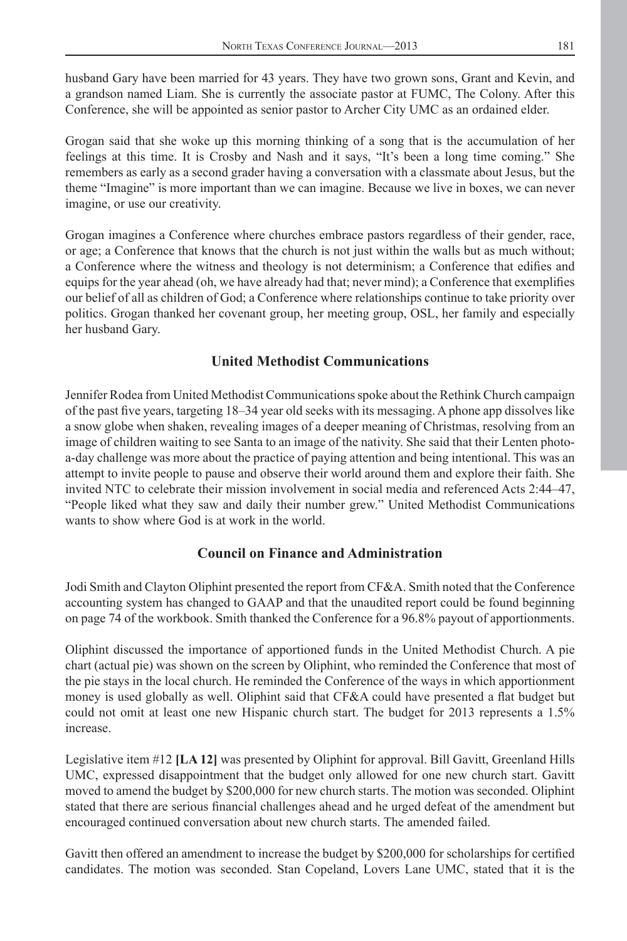husband Gary have been married for 43 years. They have two grown sons, Grant and Kevin, and a grandson named Liam. She is currently the associate pastor at FUMC, The Colony. After this Conference, she will be appointed as senior pastor to Archer City UMC as an ordained elder.

Grogan said that she woke up this morning thinking of a song that is the accumulation of her feelings at this time. It is Crosby and Nash and it says, "It's been a long time coming." She remembers as early as a second grader having a conversation with a classmate about Jesus, but the theme "Imagine" is more important than we can imagine. Because we live in boxes, we can never imagine, or use our creativity.

Grogan imagines a Conference where churches embrace pastors regardless of their gender, race, or age; a Conference that knows that the church is not just within the walls but as much without; a Conference where the witness and theology is not determinism; a Conference that edifies and equips for the year ahead (oh, we have already had that; never mind); a Conference that exemplifies our belief of all as children of God; a Conference where relationships continue to take priority over politics. Grogan thanked her covenant group, her meeting group, OSL, her family and especially her husband Gary.

## **United Methodist Communications**

Jennifer Rodea from United Methodist Communications spoke about the Rethink Church campaign of the past five years, targeting 18–34 year old seeks with its messaging. A phone app dissolves like a snow globe when shaken, revealing images of a deeper meaning of Christmas, resolving from an image of children waiting to see Santa to an image of the nativity. She said that their Lenten photoa-day challenge was more about the practice of paying attention and being intentional. This was an attempt to invite people to pause and observe their world around them and explore their faith. She invited NTC to celebrate their mission involvement in social media and referenced Acts 2:44–47, "People liked what they saw and daily their number grew." United Methodist Communications wants to show where God is at work in the world.

### **Council on Finance and Administration**

Jodi Smith and Clayton Oliphint presented the report from CF&A. Smith noted that the Conference accounting system has changed to GAAP and that the unaudited report could be found beginning on page 74 of the workbook. Smith thanked the Conference for a 96.8% payout of apportionments.

Oliphint discussed the importance of apportioned funds in the United Methodist Church. A pie chart (actual pie) was shown on the screen by Oliphint, who reminded the Conference that most of the pie stays in the local church. He reminded the Conference of the ways in which apportionment money is used globally as well. Oliphint said that CF&A could have presented a flat budget but could not omit at least one new Hispanic church start. The budget for 2013 represents a 1.5% increase.

Legislative item #12 **[LA 12]** was presented by Oliphint for approval. Bill Gavitt, Greenland Hills UMC, expressed disappointment that the budget only allowed for one new church start. Gavitt moved to amend the budget by \$200,000 for new church starts. The motion was seconded. Oliphint stated that there are serious financial challenges ahead and he urged defeat of the amendment but encouraged continued conversation about new church starts. The amended failed.

Gavitt then offered an amendment to increase the budget by \$200,000 for scholarships for certified candidates. The motion was seconded. Stan Copeland, Lovers Lane UMC, stated that it is the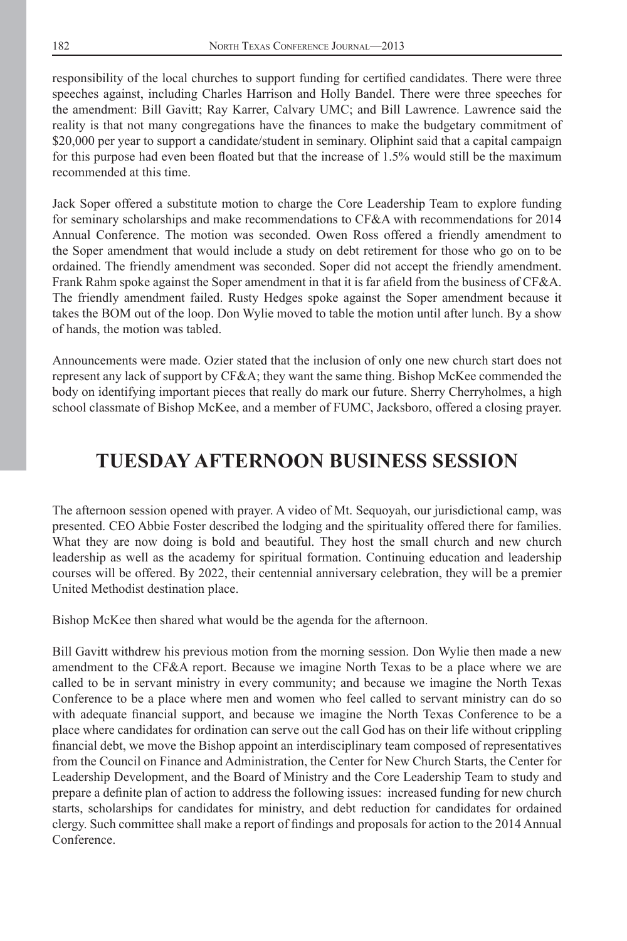responsibility of the local churches to support funding for certified candidates. There were three speeches against, including Charles Harrison and Holly Bandel. There were three speeches for the amendment: Bill Gavitt; Ray Karrer, Calvary UMC; and Bill Lawrence. Lawrence said the reality is that not many congregations have the finances to make the budgetary commitment of \$20,000 per year to support a candidate/student in seminary. Oliphint said that a capital campaign for this purpose had even been floated but that the increase of  $1.5\%$  would still be the maximum recommended at this time.

Jack Soper offered a substitute motion to charge the Core Leadership Team to explore funding for seminary scholarships and make recommendations to CF&A with recommendations for 2014 Annual Conference. The motion was seconded. Owen Ross offered a friendly amendment to the Soper amendment that would include a study on debt retirement for those who go on to be ordained. The friendly amendment was seconded. Soper did not accept the friendly amendment. Frank Rahm spoke against the Soper amendment in that it is far afield from the business of CF&A. The friendly amendment failed. Rusty Hedges spoke against the Soper amendment because it takes the BOM out of the loop. Don Wylie moved to table the motion until after lunch. By a show of hands, the motion was tabled.

Announcements were made. Ozier stated that the inclusion of only one new church start does not represent any lack of support by CF&A; they want the same thing. Bishop McKee commended the body on identifying important pieces that really do mark our future. Sherry Cherryholmes, a high school classmate of Bishop McKee, and a member of FUMC, Jacksboro, offered a closing prayer.

# **TUESDAY AFTERNOON BUSINESS SESSION**

The afternoon session opened with prayer. A video of Mt. Sequoyah, our jurisdictional camp, was presented. CEO Abbie Foster described the lodging and the spirituality offered there for families. What they are now doing is bold and beautiful. They host the small church and new church leadership as well as the academy for spiritual formation. Continuing education and leadership courses will be offered. By 2022, their centennial anniversary celebration, they will be a premier United Methodist destination place.

Bishop McKee then shared what would be the agenda for the afternoon.

Bill Gavitt withdrew his previous motion from the morning session. Don Wylie then made a new amendment to the CF&A report. Because we imagine North Texas to be a place where we are called to be in servant ministry in every community; and because we imagine the North Texas Conference to be a place where men and women who feel called to servant ministry can do so with adequate financial support, and because we imagine the North Texas Conference to be a place where candidates for ordination can serve out the call God has on their life without crippling financial debt, we move the Bishop appoint an interdisciplinary team composed of representatives from the Council on Finance and Administration, the Center for New Church Starts, the Center for Leadership Development, and the Board of Ministry and the Core Leadership Team to study and prepare a definite plan of action to address the following issues: increased funding for new church starts, scholarships for candidates for ministry, and debt reduction for candidates for ordained clergy. Such committee shall make a report of findings and proposals for action to the 2014 Annual Conference.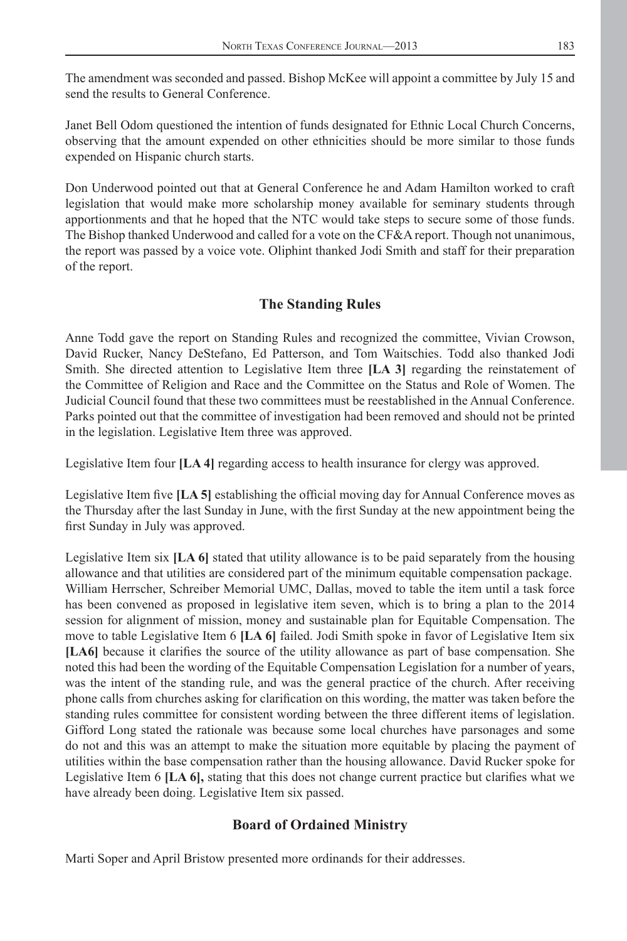The amendment was seconded and passed. Bishop McKee will appoint a committee by July 15 and send the results to General Conference.

Janet Bell Odom questioned the intention of funds designated for Ethnic Local Church Concerns, observing that the amount expended on other ethnicities should be more similar to those funds expended on Hispanic church starts.

Don Underwood pointed out that at General Conference he and Adam Hamilton worked to craft legislation that would make more scholarship money available for seminary students through apportionments and that he hoped that the NTC would take steps to secure some of those funds. The Bishop thanked Underwood and called for a vote on the CF&A report. Though not unanimous, the report was passed by a voice vote. Oliphint thanked Jodi Smith and staff for their preparation of the report.

### **The Standing Rules**

Anne Todd gave the report on Standing Rules and recognized the committee, Vivian Crowson, David Rucker, Nancy DeStefano, Ed Patterson, and Tom Waitschies. Todd also thanked Jodi Smith. She directed attention to Legislative Item three **[LA 3]** regarding the reinstatement of the Committee of Religion and Race and the Committee on the Status and Role of Women. The Judicial Council found that these two committees must be reestablished in the Annual Conference. Parks pointed out that the committee of investigation had been removed and should not be printed in the legislation. Legislative Item three was approved.

Legislative Item four **[LA 4]** regarding access to health insurance for clergy was approved.

Legislative Item five [LA 5] establishing the official moving day for Annual Conference moves as the Thursday after the last Sunday in June, with the first Sunday at the new appointment being the first Sunday in July was approved.

Legislative Item six **[LA 6]** stated that utility allowance is to be paid separately from the housing allowance and that utilities are considered part of the minimum equitable compensation package. William Herrscher, Schreiber Memorial UMC, Dallas, moved to table the item until a task force has been convened as proposed in legislative item seven, which is to bring a plan to the 2014 session for alignment of mission, money and sustainable plan for Equitable Compensation. The move to table Legislative Item 6 **[LA 6]** failed. Jodi Smith spoke in favor of Legislative Item six [LA6] because it clarifies the source of the utility allowance as part of base compensation. She noted this had been the wording of the Equitable Compensation Legislation for a number of years, was the intent of the standing rule, and was the general practice of the church. After receiving phone calls from churches asking for clarification on this wording, the matter was taken before the standing rules committee for consistent wording between the three different items of legislation. Gifford Long stated the rationale was because some local churches have parsonages and some do not and this was an attempt to make the situation more equitable by placing the payment of utilities within the base compensation rather than the housing allowance. David Rucker spoke for Legislative Item 6 [LA 6], stating that this does not change current practice but clarifies what we have already been doing. Legislative Item six passed.

#### **Board of Ordained Ministry**

Marti Soper and April Bristow presented more ordinands for their addresses.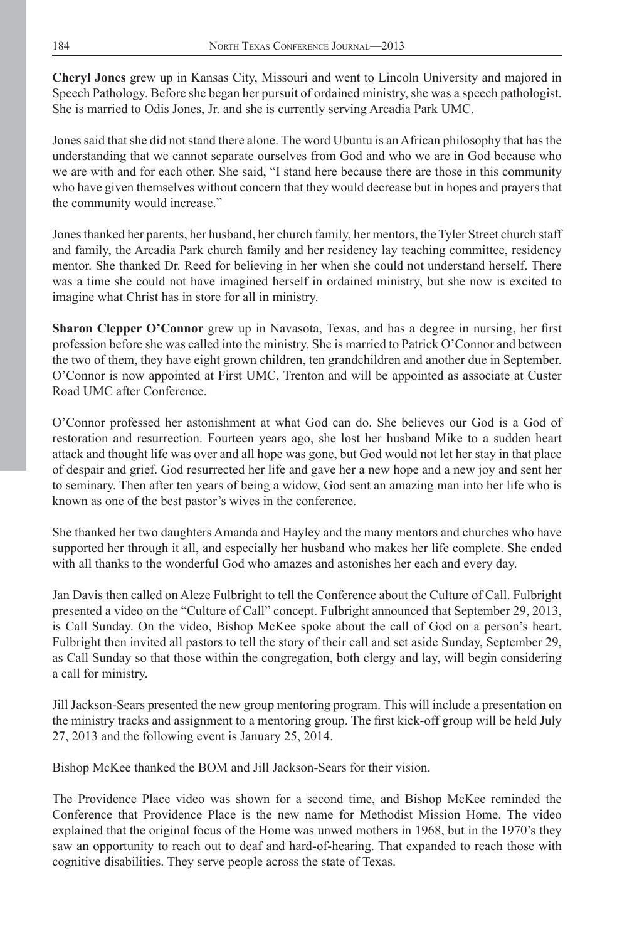**Cheryl Jones** grew up in Kansas City, Missouri and went to Lincoln University and majored in Speech Pathology. Before she began her pursuit of ordained ministry, she was a speech pathologist. She is married to Odis Jones, Jr. and she is currently serving Arcadia Park UMC.

Jones said that she did not stand there alone. The word Ubuntu is an African philosophy that has the understanding that we cannot separate ourselves from God and who we are in God because who we are with and for each other. She said, "I stand here because there are those in this community who have given themselves without concern that they would decrease but in hopes and prayers that the community would increase."

Jones thanked her parents, her husband, her church family, her mentors, the Tyler Street church staff and family, the Arcadia Park church family and her residency lay teaching committee, residency mentor. She thanked Dr. Reed for believing in her when she could not understand herself. There was a time she could not have imagined herself in ordained ministry, but she now is excited to imagine what Christ has in store for all in ministry.

**Sharon Clepper O'Connor** grew up in Navasota, Texas, and has a degree in nursing, her first profession before she was called into the ministry. She is married to Patrick O'Connor and between the two of them, they have eight grown children, ten grandchildren and another due in September. O'Connor is now appointed at First UMC, Trenton and will be appointed as associate at Custer Road UMC after Conference.

O'Connor professed her astonishment at what God can do. She believes our God is a God of restoration and resurrection. Fourteen years ago, she lost her husband Mike to a sudden heart attack and thought life was over and all hope was gone, but God would not let her stay in that place of despair and grief. God resurrected her life and gave her a new hope and a new joy and sent her to seminary. Then after ten years of being a widow, God sent an amazing man into her life who is known as one of the best pastor's wives in the conference.

She thanked her two daughters Amanda and Hayley and the many mentors and churches who have supported her through it all, and especially her husband who makes her life complete. She ended with all thanks to the wonderful God who amazes and astonishes her each and every day.

Jan Davis then called on Aleze Fulbright to tell the Conference about the Culture of Call. Fulbright presented a video on the "Culture of Call" concept. Fulbright announced that September 29, 2013, is Call Sunday. On the video, Bishop McKee spoke about the call of God on a person's heart. Fulbright then invited all pastors to tell the story of their call and set aside Sunday, September 29, as Call Sunday so that those within the congregation, both clergy and lay, will begin considering a call for ministry.

Jill Jackson-Sears presented the new group mentoring program. This will include a presentation on the ministry tracks and assignment to a mentoring group. The first kick-off group will be held July 27, 2013 and the following event is January 25, 2014.

Bishop McKee thanked the BOM and Jill Jackson-Sears for their vision.

The Providence Place video was shown for a second time, and Bishop McKee reminded the Conference that Providence Place is the new name for Methodist Mission Home. The video explained that the original focus of the Home was unwed mothers in 1968, but in the 1970's they saw an opportunity to reach out to deaf and hard-of-hearing. That expanded to reach those with cognitive disabilities. They serve people across the state of Texas.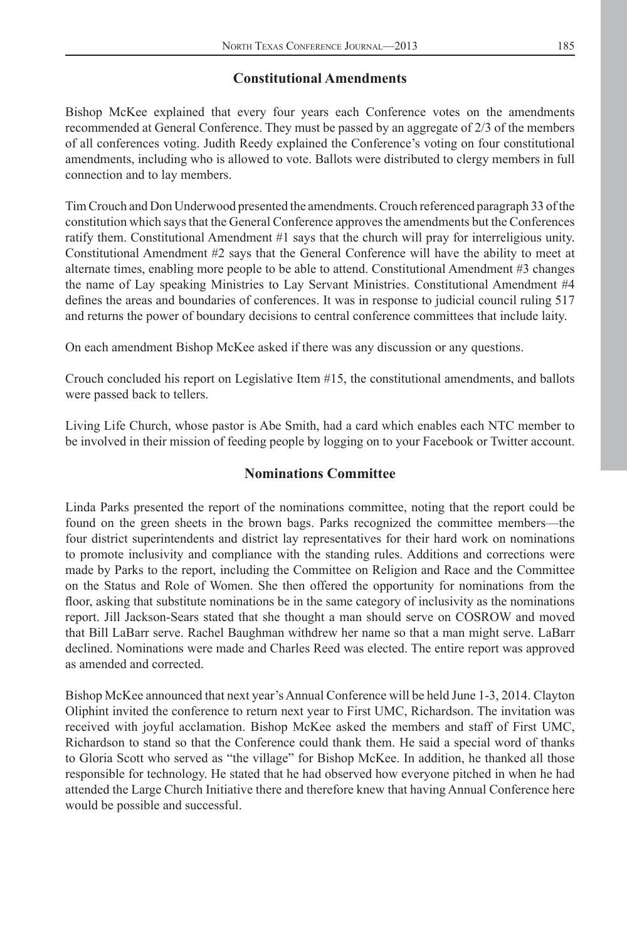### **Constitutional Amendments**

Bishop McKee explained that every four years each Conference votes on the amendments recommended at General Conference. They must be passed by an aggregate of 2/3 of the members of all conferences voting. Judith Reedy explained the Conference's voting on four constitutional amendments, including who is allowed to vote. Ballots were distributed to clergy members in full connection and to lay members.

Tim Crouch and Don Underwood presented the amendments. Crouch referenced paragraph 33 of the constitution which says that the General Conference approves the amendments but the Conferences ratify them. Constitutional Amendment #1 says that the church will pray for interreligious unity. Constitutional Amendment #2 says that the General Conference will have the ability to meet at alternate times, enabling more people to be able to attend. Constitutional Amendment #3 changes the name of Lay speaking Ministries to Lay Servant Ministries. Constitutional Amendment #4 defines the areas and boundaries of conferences. It was in response to judicial council ruling 517 and returns the power of boundary decisions to central conference committees that include laity.

On each amendment Bishop McKee asked if there was any discussion or any questions.

Crouch concluded his report on Legislative Item #15, the constitutional amendments, and ballots were passed back to tellers.

Living Life Church, whose pastor is Abe Smith, had a card which enables each NTC member to be involved in their mission of feeding people by logging on to your Facebook or Twitter account.

#### **Nominations Committee**

Linda Parks presented the report of the nominations committee, noting that the report could be found on the green sheets in the brown bags. Parks recognized the committee members—the four district superintendents and district lay representatives for their hard work on nominations to promote inclusivity and compliance with the standing rules. Additions and corrections were made by Parks to the report, including the Committee on Religion and Race and the Committee on the Status and Role of Women. She then offered the opportunity for nominations from the floor, asking that substitute nominations be in the same category of inclusivity as the nominations report. Jill Jackson-Sears stated that she thought a man should serve on COSROW and moved that Bill LaBarr serve. Rachel Baughman withdrew her name so that a man might serve. LaBarr declined. Nominations were made and Charles Reed was elected. The entire report was approved as amended and corrected.

Bishop McKee announced that next year's Annual Conference will be held June 1-3, 2014. Clayton Oliphint invited the conference to return next year to First UMC, Richardson. The invitation was received with joyful acclamation. Bishop McKee asked the members and staff of First UMC, Richardson to stand so that the Conference could thank them. He said a special word of thanks to Gloria Scott who served as "the village" for Bishop McKee. In addition, he thanked all those responsible for technology. He stated that he had observed how everyone pitched in when he had attended the Large Church Initiative there and therefore knew that having Annual Conference here would be possible and successful.